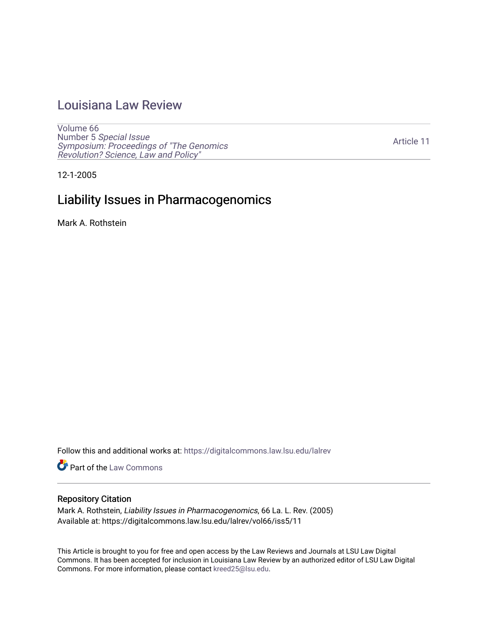## [Louisiana Law Review](https://digitalcommons.law.lsu.edu/lalrev)

[Volume 66](https://digitalcommons.law.lsu.edu/lalrev/vol66) Number 5 [Special Issue](https://digitalcommons.law.lsu.edu/lalrev/vol66/iss5) [Symposium: Proceedings of "The Genomics](https://digitalcommons.law.lsu.edu/lalrev/vol66/iss5)  [Revolution? Science, Law and Policy"](https://digitalcommons.law.lsu.edu/lalrev/vol66/iss5) 

[Article 11](https://digitalcommons.law.lsu.edu/lalrev/vol66/iss5/11) 

12-1-2005

# Liability Issues in Pharmacogenomics

Mark A. Rothstein

Follow this and additional works at: [https://digitalcommons.law.lsu.edu/lalrev](https://digitalcommons.law.lsu.edu/lalrev?utm_source=digitalcommons.law.lsu.edu%2Flalrev%2Fvol66%2Fiss5%2F11&utm_medium=PDF&utm_campaign=PDFCoverPages)

Part of the [Law Commons](https://network.bepress.com/hgg/discipline/578?utm_source=digitalcommons.law.lsu.edu%2Flalrev%2Fvol66%2Fiss5%2F11&utm_medium=PDF&utm_campaign=PDFCoverPages)

#### Repository Citation

Mark A. Rothstein, Liability Issues in Pharmacogenomics, 66 La. L. Rev. (2005) Available at: https://digitalcommons.law.lsu.edu/lalrev/vol66/iss5/11

This Article is brought to you for free and open access by the Law Reviews and Journals at LSU Law Digital Commons. It has been accepted for inclusion in Louisiana Law Review by an authorized editor of LSU Law Digital Commons. For more information, please contact [kreed25@lsu.edu](mailto:kreed25@lsu.edu).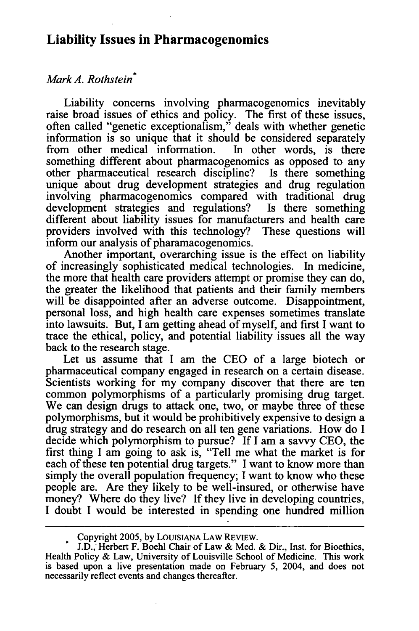### **Liability Issues in Pharmacogenomics**

#### *MarkA. Rothstein*

Liability concerns involving pharmacogenomics inevitably raise broad issues of ethics and policy. The first of these issues, often called "genetic exceptionalism," deals with whether genetic information is so unique that it should be considered separately from other medical information. In other words, is there something different about pharmacogenomics as opposed to any other pharmaceutical research discipline? Is there something unique about drug development strategies and drug regulation involving pharmacogenomics compared with traditional drug development strategies and regulations? Is there something development strategies and regulations? different about liability issues for manufacturers and health care providers involved with this technology? These questions will inform our analysis of pharamacogenomics.

Another important, overarching issue is the effect on liability of increasingly sophisticated medical technologies. In medicine, the more that health care providers attempt or promise they can do, the greater the likelihood that patients and their family members will be disappointed after an adverse outcome. Disappointment, personal loss, and high health care expenses sometimes translate into lawsuits. But, I am getting ahead of myself, and first I want to trace the ethical, policy, and potential liability issues all the way back to the research stage.

Let us assume that I am the CEO of a large biotech or pharmaceutical company engaged in research on a certain disease. Scientists working for my company discover that there are ten common polymorphisms of a particularly promising drug target. We can design drugs to attack one, two, or maybe three of these polymorphisms, but it would be prohibitively expensive to design a drug strategy and do research on all ten gene variations. How do I decide which polymorphism to pursue? If I am a savvy CEO, the first thing I am going to ask is, "Tell me what the market is for each of these ten potential drug targets." I want to know more than simply the overall population frequency; I want to know who these people are. Are they likely to be well-insured, or otherwise have money? Where do they live? If they live in developing countries, I doubt I would be interested in spending one hundred million

Copyright 2005, by LOUISIANA LAW REVIEW.

J.D., Herbert F. Boehl Chair of Law & Med. & Dir., Inst. for Bioethics, Health Policy & Law, University of Louisville School of Medicine. This work is based upon a live presentation made on February 5, 2004, and does not necessarily reflect events and changes thereafter.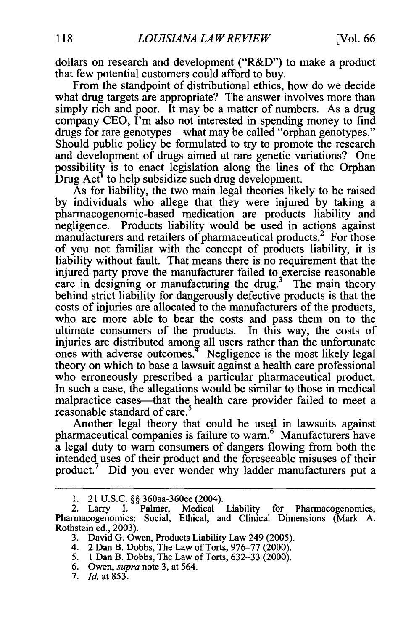dollars on research and development ("R&D") to make a product that few potential customers could afford to buy.

From the standpoint of distributional ethics, how do we decide what drug targets are appropriate? The answer involves more than simply rich and poor. It may be a matter of numbers. As a drug company CEO, I'm also not interested in spending money to find drugs for rare genotypes—what may be called "orphan genotypes." Should public policy be formulated to try to promote the research and development of drugs aimed at rare genetic variations? One possibility is to enact legislation along the lines of the Orphan Drug  $Act<sup>1</sup>$  to help subsidize such drug development.

As for liability, the two main legal theories likely to be raised by individuals who allege that they were injured by taking a pharmacogenomic-based medication are products liability and negligence. Products liability would be used in actions against manufacturers and retailers of pharmaceutical products.<sup>2</sup> For those of you not familiar with the concept of products liability, it is liability without fault. That means there is no requirement that the injured party prove the manufacturer failed to exercise reasonable care in designing or manufacturing the drug.<sup>3</sup> The main theory behind strict liability for dangerously defective products is that the costs of injuries are allocated to the manufacturers of the products, who are more able to bear the costs and pass them on to the ultimate consumers of the products. In this way, the costs of injuries are distributed among all users rather than the unfortunate ones with adverse outcomes. $4$  Negligence is the most likely legal theory on which to base a lawsuit against a health care professional who erroneously prescribed a particular pharmaceutical product. In such a case, the allegations would be similar to those in medical malpractice cases—that the health care provider failed to meet a reasonable standard of care.<sup>5</sup>

Another legal theory that could be used in lawsuits against pharmaceutical companies is failure to warn.<sup>6</sup> Manufacturers have a legal duty to warn consumers of dangers flowing from both the intended uses of their product and the foreseeable misuses of their product.<sup>7</sup> Did you ever wonder why ladder manufacturers put a

7. *Id.* at 853.

<sup>1. 21</sup> U.S.C. §§ 360aa-360ee (2004).

<sup>2.</sup> Larry I. Palmer, Medical Liability for Pharmacogenomics, Pharmacogenomics: Social, Ethical, and Clinical Dimensions (Mark A. Rothstein ed., 2003).

<sup>3.</sup> David G. Owen, Products Liability Law 249 (2005).

<sup>4. 2</sup> Dan B. Dobbs, The Law of Torts, 976-77 (2000).

<sup>5. 1</sup>Dan B. Dobbs, The Law of Torts, 632-33 (2000).

<sup>6.</sup> Owen, *supra*note 3, at 564.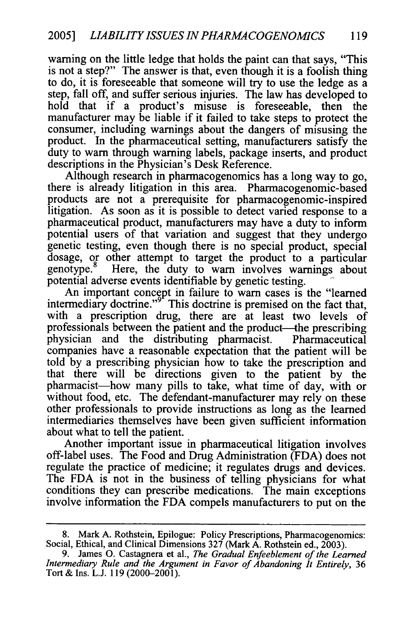warning on the little ledge that holds the paint can that says, "This is not a step?" The answer is that, even though it is a foolish thing to do, it is foreseeable that someone will try to use the ledge as a step, fall off, and suffer serious injuries. The law has developed to hold that if a product's misuse is foreseeable, then the manufacturer may be liable if it failed to take steps to protect the consumer, including warnings about the dangers of misusing the product. In the pharmaceutical setting, manufacturers satisfy the duty to warn through warning labels, package inserts, and product descriptions in the Physician's Desk Reference.

Although research in pharmacogenomics has a long way to go, there is already litigation in this area. Pharmacogenomic-based products are not a prerequisite for pharmacogenomic-inspired litigation. As soon as it is possible to detect varied response to a pharmaceutical product, manufacturers may have a duty to inform potential users of that variation and suggest that they undergo genetic testing, even though there is no special product, special dosage, or other attempt to target the product to a particular genotype.<sup>8</sup> Here, the duty to warn involves warnings about Here, the duty to warn involves warnings about potential adverse events identifiable by genetic testing.

An important concept in failure to warn cases is the "learned intermediary doctrine." $\delta$ <sup>F</sup> This doctrine is premised on the fact that, with a prescription drug, there are at least two levels of professionals between the patient and the product--the prescribing physician and the distributing pharmacist. Pharmaceutical companies have a reasonable expectation that the patient will be told by a prescribing physician how to take the prescription and that there will be directions given to the patient by the pharmacist-how many pills to take, what time of day, with or without food, etc. The defendant-manufacturer may rely on these other professionals to provide instructions as long as the learned intermediaries themselves have been given sufficient information about what to tell the patient.

Another important issue in pharmaceutical litigation involves off-label uses. The Food and Drug Administration (FDA) does not regulate the practice of medicine; it regulates drugs and devices. The FDA is not in the business of telling physicians for what conditions they can prescribe medications. The main exceptions involve information the FDA compels manufacturers to put on the

<sup>8.</sup> Mark A. Rothstein, Epilogue: Policy Prescriptions, Pharmacogenomics: Social, Ethical, and Clinical Dimensions 327 (Mark A. Rothstein ed., 2003).

<sup>9.</sup> James O. Castagnera et al., *The Gradual Enfeeblement of the Learned Intermediary Rule and the Argument in Favor of Abandoning It Entirely,* <sup>36</sup> Tort & Ins. L.J. 119 (2000-2001).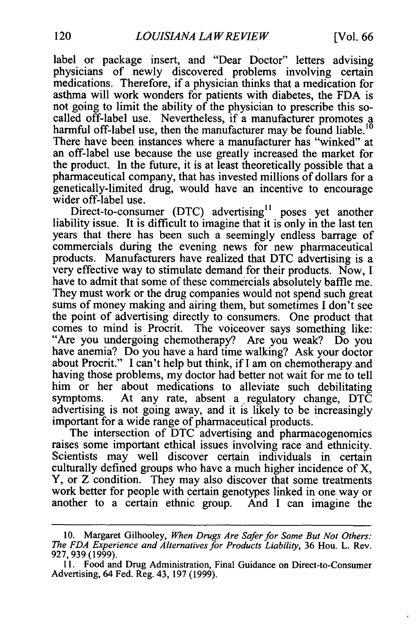label or package insert, and "Dear Doctor" letters advising physicians of newly discovered problems involving certain medications. Therefore, if a physician thinks that a medication for asthma will work wonders for patients with diabetes, the FDA is not going to limit the ability of the physician to prescribe this so-<br>called off-label use. Nevertheless, if a manufacturer promotes a harmful off-label use, then the manufacturer may be found liable.<sup>10</sup> There have been instances where a manufacturer has "winked" at an off-label use because the use greatly increased the market for the product. In the future, it is at least theoretically possible that a pharmaceutical company, that has invested millions of dollars for a genetically-limited drug, would have an incentive to encourage wider off-label use.

Direct-to-consumer (DTC) advertising<sup>11</sup> poses yet another liability issue. It is difficult to imagine that it is only in the last ten years that there has been such a seemingly endless barrage of commercials during the evening news for new pharmaceutical products. Manufacturers have realized that DTC advertising is a very effective way to stimulate demand for their products. Now, I have to admit that some of these commercials absolutely baffle me. They must work or the drug companies would not spend such great sums of money making and airing them, but sometimes I don't see the point of advertising directly to consumers. One product that comes to mind is Procrit. The voiceover says something like:<br>"Are you undergoing chemotherapy? Are you weak? Do you have anemia? Do you have a hard time walking? Ask your doctor about Procrit." I can't help but think, if I am on chemotherapy and having those problems, my doctor had better not wait for me to tell him or her about medications to alleviate such debilitating symptoms. At any rate, absent a regulatory change, DTC advertising is not going away, and it is likely to be increasingly important for a wide range of pharmaceutical products.

The intersection of DTC advertising and pharmacogenomics raises some important ethical issues involving race and ethnicity. Scientists may well discover certain individuals in certain culturally defined groups who have a much higher incidence of X, Y, or Z condition. They may also discover that some treatments work better for people with certain genotypes linked in one way or another to a certain ethnic group. And I can imagine the

<sup>10.</sup> Margaret Gilhooley, When Drugs Are Safer for Some But Not Others: The FDA Experience and Alternatives for Products Liability, 36 Hou. L. Rev. 927, 939 (1999).

<sup>11.</sup> Food and Drug Administration, Final Guidance on Direct-to-Consumer Advertising, 64 Fed. Reg. 43, 197 (1999).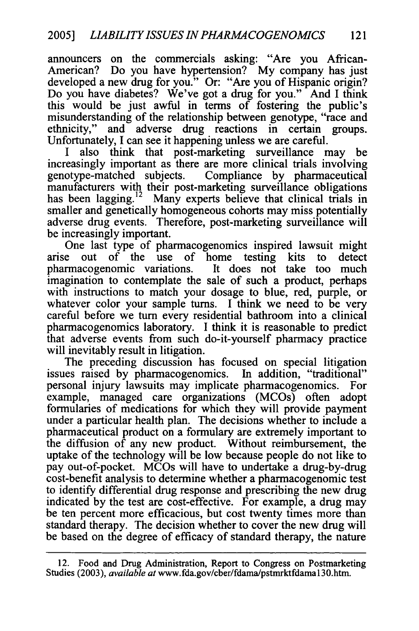announcers on the commercials asking: "Are you African-American? Do you have hypertension? My company has just developed a new drug for you." Or: "Are you of Hispanic origin? Do you have diabetes? We've got a drug for you." And I think this would be just awful in terms of fostering the public's misunderstanding of the relationship between genotype, "race and ethnicity," and adverse drug reactions in certain groups. Unfortunately, I can see it happening unless we are careful.

I also think that post-marketing surveillance may be increasingly important as there are more clinical trials involving genotype-matched subjects. Compliance by pharmaceutical manufacturers with their post-marketing surveillance obligations has been [lagging.](https://lagging.12)<sup>12</sup> Many experts believe that clinical trials in smaller and genetically homogeneous cohorts may miss potentially adverse drug events. Therefore, post-marketing surveillance will be increasingly important.

One last type of pharmacogenomics inspired lawsuit might arise out of the use of home testing kits to detect pharmacogenomic variations. It does not take too much imagination to contemplate the sale of such a product, perhaps with instructions to match your dosage to blue, red, purple, or whatever color your sample turns. I think we need to be very careful before we turn every residential bathroom into a clinical pharmacogenomics laboratory. I think it is reasonable to predict that adverse events from such do-it-yourself pharmacy practice will inevitably result in litigation.

The preceding discussion has focused on special litigation issues raised by pharmacogenomics. In addition, "traditional" personal injury lawsuits may implicate pharmacogenomics. For example, managed care organizations (MCOs) often adopt formularies of medications for which they will provide payment under a particular health plan. The decisions whether to include a pharmaceutical product on a formulary are extremely important to the diffusion of any new product. Without reimbursement, the uptake of the technology will be low because people do not like to pay out-of-pocket. MCOs will have to undertake a drug-by-drug cost-benefit analysis to determine whether a pharmacogenomic test to identify differential drug response and prescribing the new drug indicated by the test are cost-effective. For example, a drug may be ten percent more efficacious, but cost twenty times more than standard therapy. The decision whether to cover the new drug will be based on the degree of efficacy of standard therapy, the nature

<sup>12.</sup> Food and Drug Administration, Report to Congress on Postmarketing Studies (2003), *availableat* <www.fda.gov/cber/fdama/pstmrktfdama>130.htm.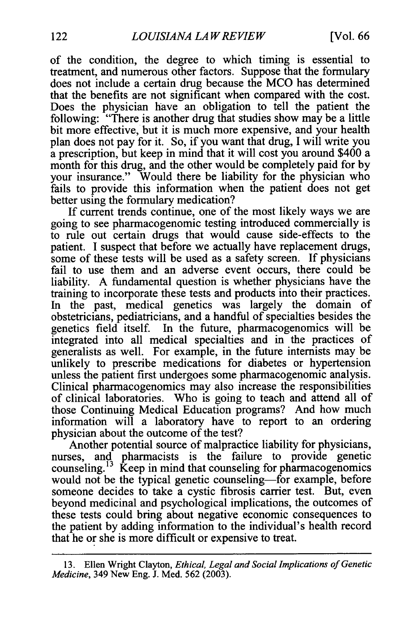of the condition, the degree to which timing is essential to treatment, and numerous other factors. Suppose that the formulary does not include a certain drug because the MCO has determined that the benefits are not significant when compared with the cost. Does the physician have an obligation to tell the patient the following: "There is another drug that studies show may be a little bit more effective, but it is much more expensive, and your health plan does not pay for it. So, if you want that drug, I will write you a prescription, but keep in mind that it will cost you around \$400 a month for this drug, and the other would be completely paid for by your insurance." Would there be liability for the physician who fails to provide this information when the patient does not get better using the formulary medication?

If current trends continue, one of the most likely ways we are going to see pharmacogenomic testing introduced commercially is to rule out certain drugs that would cause side-effects to the patient. I suspect that before we actually have replacement drugs, some of these tests will be used as a safety screen. If physicians fail to use them and an adverse event occurs, there could be liability. A fundamental question is whether physicians have the training to incorporate these tests and products into their practices. In the past, medical genetics was largely the domain of obstetricians, pediatricians, and a handful of specialties besides the genetics field itself. In the future, pharmacogenomics will be integrated into all medical specialties and in the practices of generalists as well. For example, in the future internists may be unlikely to prescribe medications for diabetes or hypertension unless the patient first undergoes some pharmacogenomic analysis. Clinical pharmacogenomics may also increase the responsibilities of clinical laboratories. Who is going to teach and attend all of those Continuing Medical Education programs? And how much information will a laboratory have to report to an ordering physician about the outcome of the test?

Another potential source of malpractice liability for physicians, nurses, and pharmacists is the failure to provide genetic counseling.<sup> $13$ </sup> Keep in mind that counseling for pharmacogenomics would not be the typical genetic counseling—for example, before someone decides to take a cystic fibrosis carrier test. But, even beyond medicinal and psychological implications, the outcomes of these tests could bring about negative economic consequences to the patient by adding information to the individual's health record that he or she is more difficult or expensive to treat.

<sup>13.</sup> Ellen Wright Clayton, *Ethical, Legal and Social Implications of Genetic Medicine,* 349 New Eng. J. Med. 562 (2003).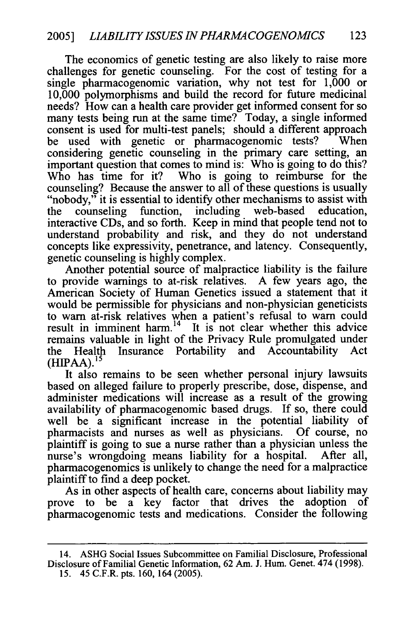The economics of genetic testing are also likely to raise more challenges for genetic counseling. For the cost of testing for a single pharmacogenomic variation, why not test for 1,000 or 10,000 polymorphisms and build the record for future medicinal needs? How can a health care provider get informed consent for so many tests being run at the same time? Today, a single informed consent is used for multi-test panels; should a different approach be used with genetic or pharmacogenomic tests? considering genetic counseling in the primary care setting, an important question that comes to mind is: Who is going to do this? Who has time for it? Who is going to reimburse for the counseling? Because the answer to all of these questions is usually "nobody," it is essential to identify other mechanisms to assist with the counseling function, including web-based education, interactive CDs, and so forth. Keep in mind that people tend not to understand probability and risk, and they do not understand concepts like expressivity, penetrance, and latency. Consequently, genetic counseling is highly complex.

Another potential source of malpractice liability is the failure to provide warnings to at-risk relatives. A few years ago, the American Society of Human Genetics issued a statement that it would be permissible for physicians and non-physician geneticists to warn at-risk relatives when a patient's refusal to warn could result in imminent harm.<sup>14</sup> It is not clear whether this advice remains valuable in light of the Privacy Rule promulgated under the Health Insurance Portability and Accountability Act  $(HIPAA).$ <sup>15</sup>

It also remains to be seen whether personal injury lawsuits based on alleged failure to properly prescribe, dose, dispense, and administer medications will increase as a result of the growing availability of pharmacogenomic based drugs. If so, there could well be a significant increase in the potential liability of pharmacists and nurses as well as physicians. Of course, no plaintiff is going to sue a nurse rather than a physician unless the nurse's wrongdoing means liability for a hospital. After all, pharmacogenomics is unlikely to change the need for a malpractice plaintiff to find a deep pocket.

As in other aspects of health care, concerns about liability may prove to be a key factor that drives the adoption of pharmacogenomic tests and medications. Consider the following

<sup>14.</sup> ASHG Social Issues Subcommittee on Familial Disclosure, Professional Disclosure of Familial Genetic Information, 62 Am. J. Hum. Genet. 474 (1998). 15. 45 C.F.R. pts. 160, 164 (2005).